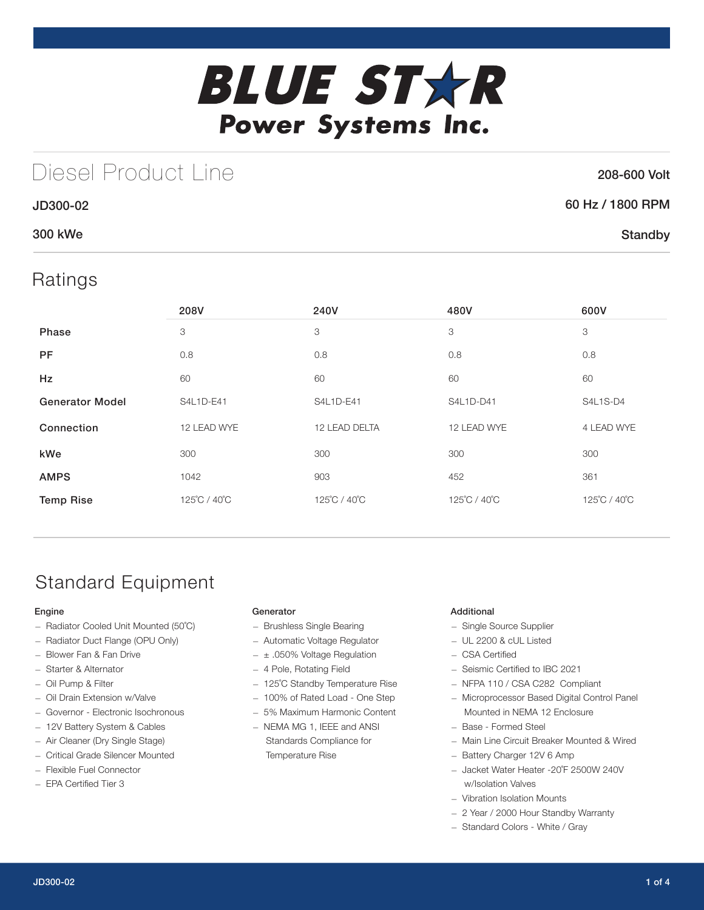

## Diesel Product Line

### 208-600 Volt

| JD300-02 | 60 Hz / 1800 RPM |
|----------|------------------|
| 300 kWe  | Standby          |

## Ratings

|                        | 208V         | 240V          | 480V         | 600V         |
|------------------------|--------------|---------------|--------------|--------------|
| Phase                  | 3            | 3             | 3            | 3            |
| <b>PF</b>              | 0.8          | 0.8           | 0.8          | 0.8          |
| <b>Hz</b>              | 60           | 60            | 60           | 60           |
| <b>Generator Model</b> | S4L1D-E41    | S4L1D-E41     | S4L1D-D41    | S4L1S-D4     |
| Connection             | 12 LEAD WYE  | 12 LEAD DELTA | 12 LEAD WYE  | 4 LEAD WYE   |
| kWe                    | 300          | 300           | 300          | 300          |
| <b>AMPS</b>            | 1042         | 903           | 452          | 361          |
| <b>Temp Rise</b>       | 125°C / 40°C | 125°C / 40°C  | 125°C / 40°C | 125°C / 40°C |

## Standard Equipment

### Engine

- Radiator Cooled Unit Mounted (50˚C)
- Radiator Duct Flange (OPU Only)
- Blower Fan & Fan Drive
- Starter & Alternator
- Oil Pump & Filter
- Oil Drain Extension w/Valve
- Governor Electronic Isochronous
- 12V Battery System & Cables
- Air Cleaner (Dry Single Stage)
- Critical Grade Silencer Mounted
- Flexible Fuel Connector
- EPA Certified Tier 3

#### **Generator**

- Brushless Single Bearing
- Automatic Voltage Regulator
- $-$  ± .050% Voltage Regulation
- 4 Pole, Rotating Field
- 125˚C Standby Temperature Rise
- 100% of Rated Load One Step
- 5% Maximum Harmonic Content
- NEMA MG 1, IEEE and ANSI Standards Compliance for Temperature Rise

### Additional

- Single Source Supplier
- UL 2200 & cUL Listed
- CSA Certified
- Seismic Certified to IBC 2021
- NFPA 110 / CSA C282 Compliant
- Microprocessor Based Digital Control Panel Mounted in NEMA 12 Enclosure
- Base Formed Steel
- Main Line Circuit Breaker Mounted & Wired
- Battery Charger 12V 6 Amp
- Jacket Water Heater -20˚F 2500W 240V w/Isolation Valves
- Vibration Isolation Mounts
- 2 Year / 2000 Hour Standby Warranty
- Standard Colors White / Gray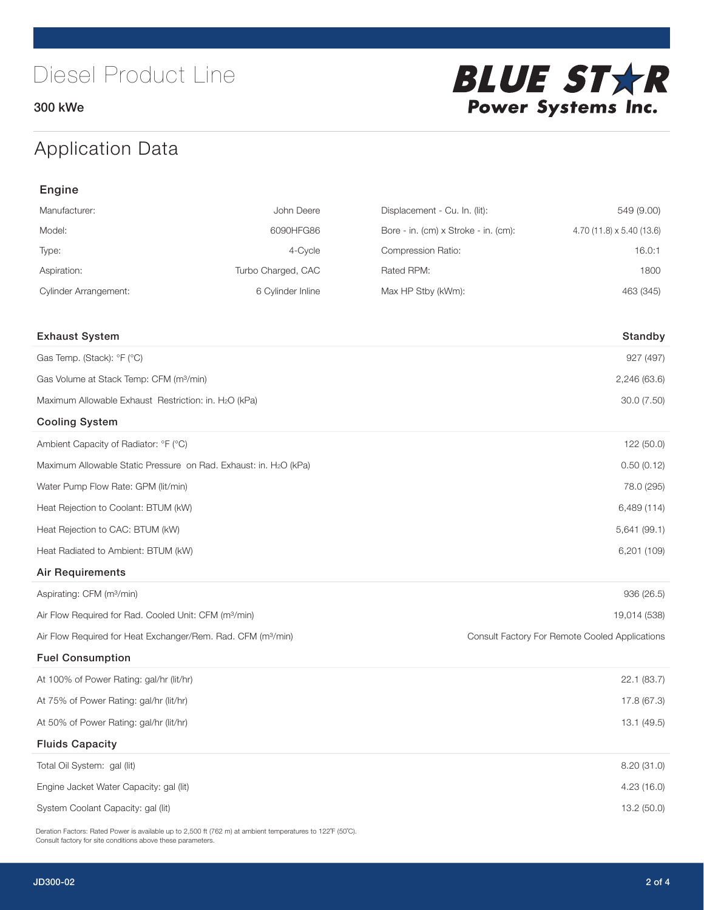300 kWe



## Application Data

| Engine                                                                   |                    |                                      |                                                |  |
|--------------------------------------------------------------------------|--------------------|--------------------------------------|------------------------------------------------|--|
| Manufacturer:                                                            | John Deere         | Displacement - Cu. In. (lit):        | 549 (9.00)                                     |  |
| Model:                                                                   | 6090HFG86          | Bore - in. (cm) x Stroke - in. (cm): | 4.70 (11.8) x 5.40 (13.6)                      |  |
| Type:                                                                    | 4-Cycle            | Compression Ratio:                   | 16.0:1                                         |  |
| Aspiration:                                                              | Turbo Charged, CAC | Rated RPM:                           | 1800                                           |  |
| <b>Cylinder Arrangement:</b>                                             | 6 Cylinder Inline  | Max HP Stby (kWm):                   | 463 (345)                                      |  |
| <b>Exhaust System</b>                                                    |                    |                                      | Standby                                        |  |
| Gas Temp. (Stack): °F (°C)                                               |                    |                                      | 927 (497)                                      |  |
| Gas Volume at Stack Temp: CFM (m <sup>3</sup> /min)                      |                    |                                      | 2,246 (63.6)                                   |  |
| Maximum Allowable Exhaust Restriction: in. H2O (kPa)                     |                    |                                      | 30.0 (7.50)                                    |  |
| <b>Cooling System</b>                                                    |                    |                                      |                                                |  |
| Ambient Capacity of Radiator: °F (°C)                                    |                    |                                      | 122 (50.0)                                     |  |
| Maximum Allowable Static Pressure on Rad. Exhaust: in. H2O (kPa)         |                    |                                      | 0.50(0.12)                                     |  |
| Water Pump Flow Rate: GPM (lit/min)                                      |                    |                                      | 78.0 (295)                                     |  |
| Heat Rejection to Coolant: BTUM (kW)                                     |                    |                                      | 6,489 (114)                                    |  |
| Heat Rejection to CAC: BTUM (kW)                                         |                    |                                      | 5,641 (99.1)                                   |  |
| Heat Radiated to Ambient: BTUM (kW)                                      |                    |                                      | 6,201 (109)                                    |  |
| <b>Air Requirements</b>                                                  |                    |                                      |                                                |  |
| Aspirating: CFM (m <sup>3</sup> /min)                                    |                    |                                      | 936 (26.5)                                     |  |
| Air Flow Required for Rad. Cooled Unit: CFM (m <sup>3</sup> /min)        |                    |                                      | 19,014 (538)                                   |  |
| Air Flow Required for Heat Exchanger/Rem. Rad. CFM (m <sup>3</sup> /min) |                    |                                      | Consult Factory For Remote Cooled Applications |  |
| <b>Fuel Consumption</b>                                                  |                    |                                      |                                                |  |
| At 100% of Power Rating: gal/hr (lit/hr)                                 |                    |                                      | 22.1 (83.7)                                    |  |
| At 75% of Power Rating: gal/hr (lit/hr)                                  |                    | 17.8 (67.3)                          |                                                |  |
| At 50% of Power Rating: gal/hr (lit/hr)                                  |                    |                                      | 13.1 (49.5)                                    |  |
| <b>Fluids Capacity</b>                                                   |                    |                                      |                                                |  |
| Total Oil System: gal (lit)                                              |                    |                                      | 8.20 (31.0)                                    |  |
| Engine Jacket Water Capacity: gal (lit)                                  |                    |                                      | 4.23 (16.0)                                    |  |
| System Coolant Capacity: gal (lit)                                       |                    |                                      | 13.2 (50.0)                                    |  |

Deration Factors: Rated Power is available up to 2,500 ft (762 m) at ambient temperatures to 122°F (50°C). Consult factory for site conditions above these parameters.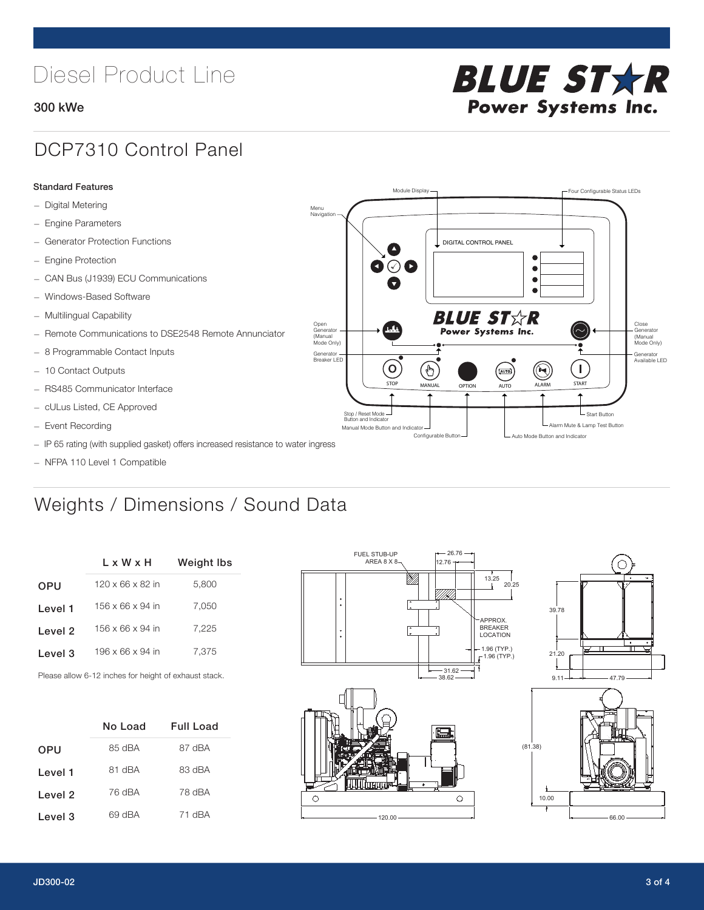# Diesel Product Line

### 300 kWe



STOP MANUAL OPTION AUTO ALARM START

[AUTO]

**BLUE STAR** Power Systems Inc.

Manual Mode Button and Indicator Sultane Mute & Lamp Test Button Mute & Lamp Test Button Mute & Lamp Test Button Configurable Button -  $\Box$  Auto Mode Button and Indicator

DIGITAL CONTROL PANEL

Module Display  $\Box$ 

 $\bullet$  $\bullet$  $\bullet$ 

 $\circledcirc$ 

Menu Navigation

Open Generator (Manual Mode Only)

Generator Breaker LED

Stop / Reset Mode Button and Indicator

 $\bullet$  $\bullet$   $\circ$   $\bullet$ 

 $\sigma$ 

՟Պ

### DCP7310 Control Panel

#### Standard Features

- Digital Metering
- Engine Parameters
- Generator Protection Functions
- Engine Protection
- CAN Bus (J1939) ECU Communications
- Windows-Based Software
- Multilingual Capability
- Remote Communications to DSE2548 Remote Annunciator
- 8 Programmable Contact Inputs
- 10 Contact Outputs
- RS485 Communicator Interface
- cULus Listed, CE Approved
- Event Recording
- IP 65 rating (with supplied gasket) offers increased resistance to water ingress
- NFPA 110 Level 1 Compatible

## Weights / Dimensions / Sound Data

|                    | L x W x H                    | Weight Ibs |  |  |
|--------------------|------------------------------|------------|--|--|
| <b>OPU</b>         | $120 \times 66 \times 82$ in | 5,800      |  |  |
| Level 1            | $156 \times 66 \times 94$ in | 7,050      |  |  |
| Level 2            | 156 x 66 x 94 in             | 7,225      |  |  |
| Level <sub>3</sub> | 196 x 66 x 94 in             | 7.375      |  |  |
|                    |                              |            |  |  |

Please allow 6-12 inches for height of exhaust stack.

|            | No Load | Full Load |
|------------|---------|-----------|
| <b>OPU</b> | 85 dBA  | 87 dBA    |
| Level 1    | 81 dBA  | 83 dBA    |
| Level 2    | 76 dBA  | 78 dBA    |
| Level 3    | 69 dBA  | 71 dBA    |





- Start Button

 $\blacksquare$ 

Close Generator (Manual Mode Only)

Generator Available LED